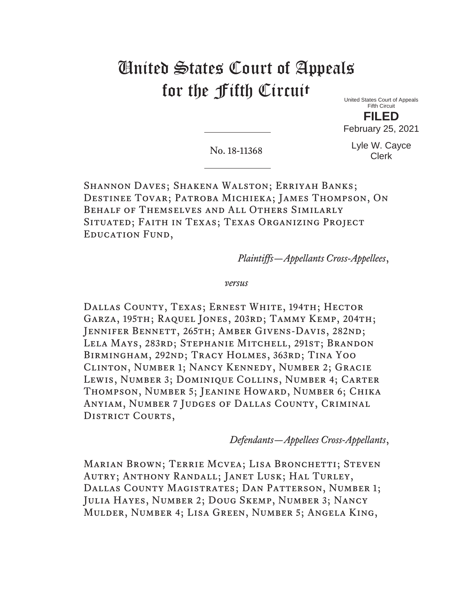## United States Court of Appeals for the Fifth Circuit

United States Court of Appeals Fifth Circuit **FILED**

February 25, 2021

No. 18-11368

Lyle W. Cayce Clerk

Shannon Daves; Shakena Walston; Erriyah Banks; Destinee Tovar; Patroba Michieka; James Thompson, On Behalf of Themselves and All Others Similarly Situated; Faith in Texas; Texas Organizing Project Education Fund,

*Plaintiffs—Appellants Cross-Appellees*,

*versus* 

DALLAS COUNTY, TEXAS; ERNEST WHITE, 194TH; HECTOR Garza, 195th; Raquel Jones, 203rd; Tammy Kemp, 204th; Jennifer Bennett, 265th; Amber Givens-Davis, 282nd; Lela Mays, 283rd; Stephanie Mitchell, 291st; Brandon Birmingham, 292nd; Tracy Holmes, 363rd; Tina Yoo Clinton, Number 1; Nancy Kennedy, Number 2; Gracie Lewis, Number 3; Dominique Collins, Number 4; Carter Thompson, Number 5; Jeanine Howard, Number 6; Chika Anyiam, Number 7 Judges of Dallas County, Criminal DISTRICT COURTS,

*Defendants—Appellees Cross-Appellants*,

MARIAN BROWN; TERRIE MCVEA; LISA BRONCHETTI; STEVEN Autry; Anthony Randall; Janet Lusk; Hal Turley, Dallas County Magistrates; Dan Patterson, Number 1; Julia Hayes, Number 2; Doug Skemp, Number 3; Nancy Mulder, Number 4; Lisa Green, Number 5; Angela King,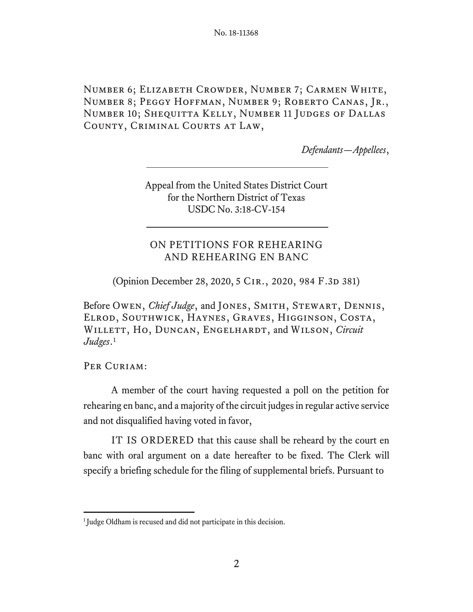Number 6; Elizabeth Crowder, Number 7; Carmen White, Number 8; Peggy Hoffman, Number 9; Roberto Canas, Jr., Number 10; Shequitta Kelly, Number 11 Judges of Dallas County, Criminal Courts at Law,

*Defendants—Appellees*,

Appeal from the United States District Court for the Northern District of Texas USDC No. 3:18-CV-154

## ON PETITIONS FOR REHEARING AND REHEARING EN BANC

(Opinion December 28, 2020, 5 CIR., 2020, 984 F.3D 381)

Before Owen, *Chief Judge*, and Jones, Smith, Stewart, Dennis, Elrod, Southwick, Haynes, Graves, Higginson, Costa, WILLETT, HO, DUNCAN, ENGELHARDT, and WILSON, *Circuit Judges*.1

Per Curiam:

A member of the court having requested a poll on the petition for rehearing en banc, and a majority of the circuit judges in regular active service and not disqualified having voted in favor,

IT IS ORDERED that this cause shall be reheard by the court en banc with oral argument on a date hereafter to be fixed. The Clerk will specify a briefing schedule for the filing of supplemental briefs. Pursuant to

<sup>&</sup>lt;sup>1</sup> Judge Oldham is recused and did not participate in this decision.